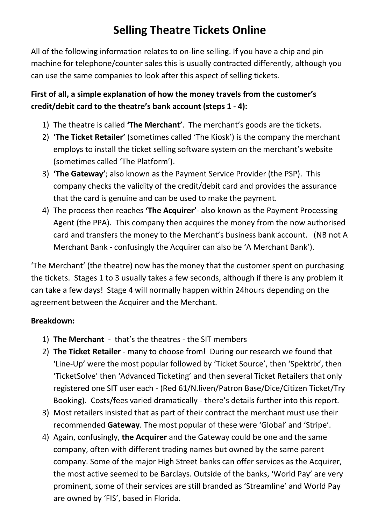# **Selling Theatre Tickets Online**

All of the following information relates to on-line selling. If you have a chip and pin machine for telephone/counter sales this is usually contracted differently, although you can use the same companies to look after this aspect of selling tickets.

## **First of all, a simple explanation of how the money travels from the customer's credit/debit card to the theatre's bank account (steps 1 - 4):**

- 1) The theatre is called **'The Merchant'**. The merchant's goods are the tickets.
- 2) **'The Ticket Retailer'** (sometimes called 'The Kiosk') is the company the merchant employs to install the ticket selling software system on the merchant's website (sometimes called 'The Platform').
- 3) **'The Gateway'**; also known as the Payment Service Provider (the PSP). This company checks the validity of the credit/debit card and provides the assurance that the card is genuine and can be used to make the payment.
- 4) The process then reaches **'The Acquirer'** also known as the Payment Processing Agent (the PPA). This company then acquires the money from the now authorised card and transfers the money to the Merchant's business bank account. (NB not A Merchant Bank - confusingly the Acquirer can also be 'A Merchant Bank').

'The Merchant' (the theatre) now has the money that the customer spent on purchasing the tickets. Stages 1 to 3 usually takes a few seconds, although if there is any problem it can take a few days! Stage 4 will normally happen within 24hours depending on the agreement between the Acquirer and the Merchant.

### **Breakdown:**

- 1) **The Merchant** that's the theatres the SIT members
- 2) **The Ticket Retailer** many to choose from! During our research we found that 'Line-Up' were the most popular followed by 'Ticket Source', then 'Spektrix', then 'TicketSolve' then 'Advanced Ticketing' and then several Ticket Retailers that only registered one SIT user each - (Red 61/N.liven/Patron Base/Dice/Citizen Ticket/Try Booking). Costs/fees varied dramatically - there's details further into this report.
- 3) Most retailers insisted that as part of their contract the merchant must use their recommended **Gateway**. The most popular of these were 'Global' and 'Stripe'.
- 4) Again, confusingly, **the Acquirer** and the Gateway could be one and the same company, often with different trading names but owned by the same parent company. Some of the major High Street banks can offer services as the Acquirer, the most active seemed to be Barclays. Outside of the banks, 'World Pay' are very prominent, some of their services are still branded as 'Streamline' and World Pay are owned by 'FIS', based in Florida.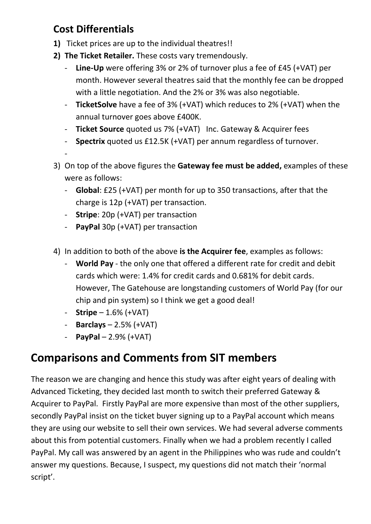## **Cost Differentials**

- **1)** Ticket prices are up to the individual theatres!!
- **2) The Ticket Retailer.** These costs vary tremendously.
	- **Line-Up** were offering 3% or 2% of turnover plus a fee of £45 (+VAT) per month. However several theatres said that the monthly fee can be dropped with a little negotiation. And the 2% or 3% was also negotiable.
	- **TicketSolve** have a fee of 3% (+VAT) which reduces to 2% (+VAT) when the annual turnover goes above £400K.
	- **Ticket Source** quoted us 7% (+VAT) Inc. Gateway & Acquirer fees
	- **Spectrix** quoted us £12.5K (+VAT) per annum regardless of turnover.
	- -
- 3) On top of the above figures the **Gateway fee must be added,** examples of these were as follows:
	- **Global**: £25 (+VAT) per month for up to 350 transactions, after that the charge is 12p (+VAT) per transaction.
	- **Stripe**: 20p (+VAT) per transaction
	- **PayPal** 30p (+VAT) per transaction
- 4) In addition to both of the above **is the Acquirer fee**, examples as follows:
	- **World Pay** the only one that offered a different rate for credit and debit cards which were: 1.4% for credit cards and 0.681% for debit cards. However, The Gatehouse are longstanding customers of World Pay (for our chip and pin system) so I think we get a good deal!
	- **Stripe** 1.6% (+VAT)
	- **Barclays** 2.5% (+VAT)
	- **PayPal** 2.9% (+VAT)

# **Comparisons and Comments from SIT members**

The reason we are changing and hence this study was after eight years of dealing with Advanced Ticketing, they decided last month to switch their preferred Gateway & Acquirer to PayPal. Firstly PayPal are more expensive than most of the other suppliers, secondly PayPal insist on the ticket buyer signing up to a PayPal account which means they are using our website to sell their own services. We had several adverse comments about this from potential customers. Finally when we had a problem recently I called PayPal. My call was answered by an agent in the Philippines who was rude and couldn't answer my questions. Because, I suspect, my questions did not match their 'normal script'.